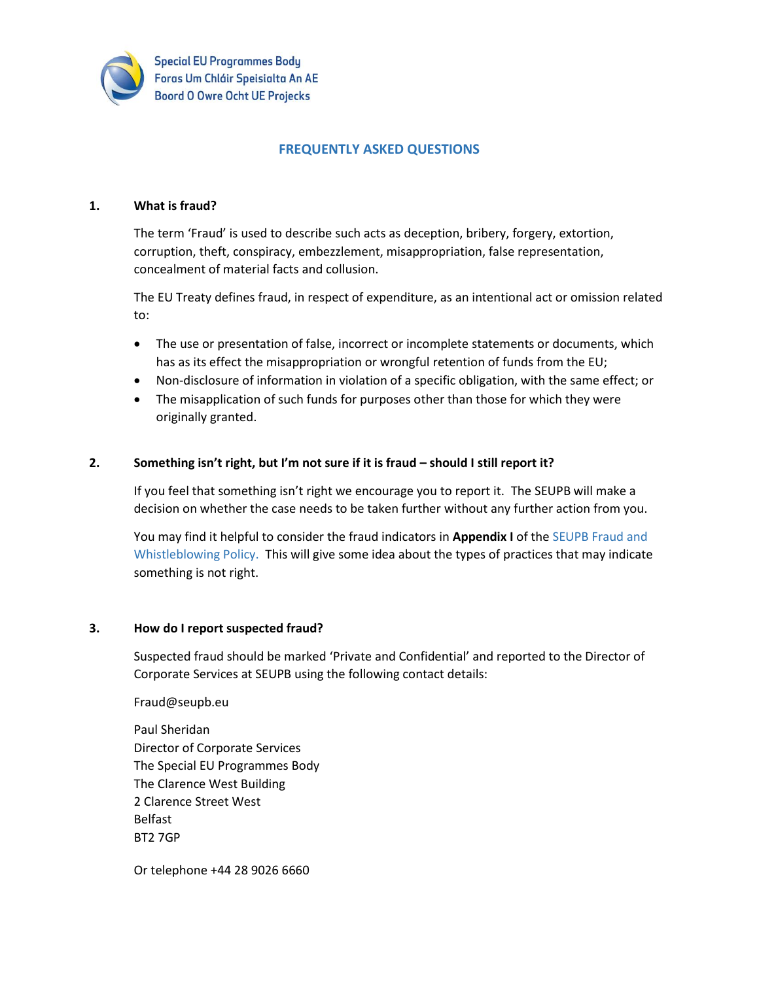

**Special EU Programmes Body** Foras Um Chláir Speisialta An AE **Boord O Owre Ocht UE Projecks** 

# **FREQUENTLY ASKED QUESTIONS**

### **1. What is fraud?**

The term 'Fraud' is used to describe such acts as deception, bribery, forgery, extortion, corruption, theft, conspiracy, embezzlement, misappropriation, false representation, concealment of material facts and collusion.

The EU Treaty defines fraud, in respect of expenditure, as an intentional act or omission related to:

- The use or presentation of false, incorrect or incomplete statements or documents, which has as its effect the misappropriation or wrongful retention of funds from the EU;
- Non-disclosure of information in violation of a specific obligation, with the same effect; or
- The misapplication of such funds for purposes other than those for which they were originally granted.

### **2. Something isn't right, but I'm not sure if it is fraud – should I still report it?**

If you feel that something isn't right we encourage you to report it. The SEUPB will make a decision on whether the case needs to be taken further without any further action from you.

You may find it helpful to consider the fraud indicators in **Appendix I** of the SEUPB Fraud and Whistleblowing Policy. This will give some idea about the types of practices that may indicate something is not right.

#### **3. How do I report suspected fraud?**

Suspected fraud should be marked 'Private and Confidential' and reported to the Director of Corporate Services at SEUPB using the following contact details:

Fraud@seupb.eu

Paul Sheridan Director of Corporate Services The Special EU Programmes Body The Clarence West Building 2 Clarence Street West Belfast BT2 7GP

Or telephone +44 28 9026 6660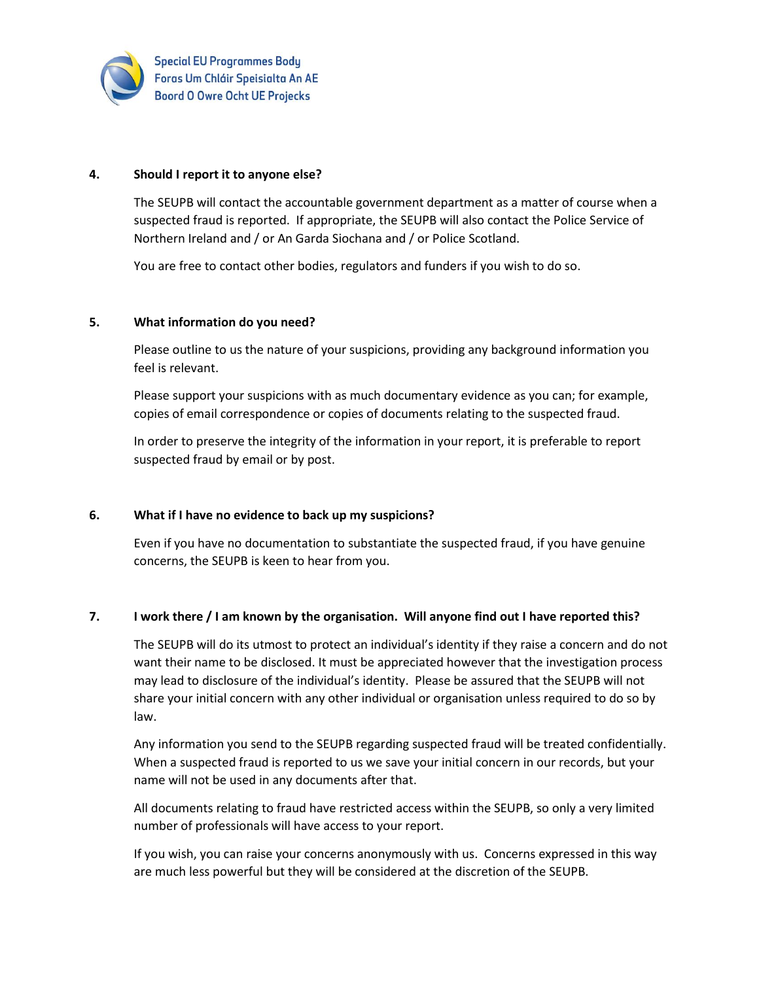

#### **4. Should I report it to anyone else?**

The SEUPB will contact the accountable government department as a matter of course when a suspected fraud is reported. If appropriate, the SEUPB will also contact the Police Service of Northern Ireland and / or An Garda Siochana and / or Police Scotland.

You are free to contact other bodies, regulators and funders if you wish to do so.

#### **5. What information do you need?**

Please outline to us the nature of your suspicions, providing any background information you feel is relevant.

Please support your suspicions with as much documentary evidence as you can; for example, copies of email correspondence or copies of documents relating to the suspected fraud.

In order to preserve the integrity of the information in your report, it is preferable to report suspected fraud by email or by post.

### **6. What if I have no evidence to back up my suspicions?**

Even if you have no documentation to substantiate the suspected fraud, if you have genuine concerns, the SEUPB is keen to hear from you.

### **7. I work there / I am known by the organisation. Will anyone find out I have reported this?**

The SEUPB will do its utmost to protect an individual's identity if they raise a concern and do not want their name to be disclosed. It must be appreciated however that the investigation process may lead to disclosure of the individual's identity. Please be assured that the SEUPB will not share your initial concern with any other individual or organisation unless required to do so by law.

Any information you send to the SEUPB regarding suspected fraud will be treated confidentially. When a suspected fraud is reported to us we save your initial concern in our records, but your name will not be used in any documents after that.

All documents relating to fraud have restricted access within the SEUPB, so only a very limited number of professionals will have access to your report.

If you wish, you can raise your concerns anonymously with us. Concerns expressed in this way are much less powerful but they will be considered at the discretion of the SEUPB.